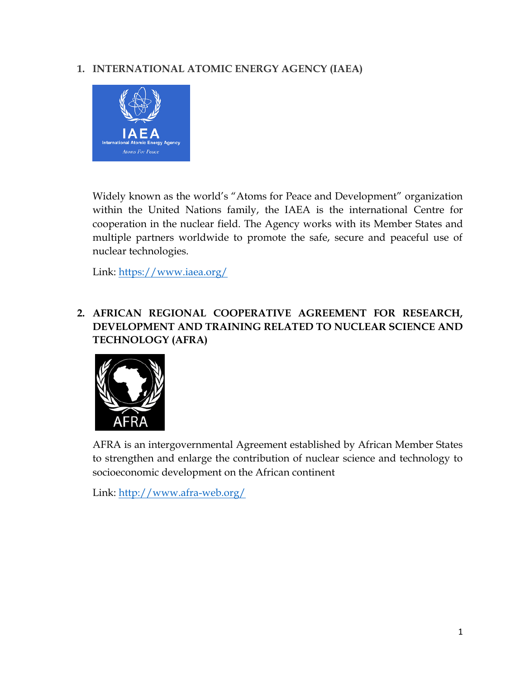# **1. INTERNATIONAL ATOMIC ENERGY AGENCY (IAEA)**



Widely known as the world's "Atoms for Peace and Development" organization within the United Nations family, the IAEA is the international Centre for cooperation in the nuclear field. The Agency works with its Member States and multiple partners worldwide to promote the safe, secure and peaceful use of nuclear technologies.

Link:<https://www.iaea.org/>

### **2. AFRICAN REGIONAL COOPERATIVE AGREEMENT FOR RESEARCH, DEVELOPMENT AND TRAINING RELATED TO NUCLEAR SCIENCE AND TECHNOLOGY (AFRA)**



AFRA is an intergovernmental Agreement established by African Member States to strengthen and enlarge the contribution of nuclear science and technology to socioeconomic development on the African continent

Link:<http://www.afra-web.org/>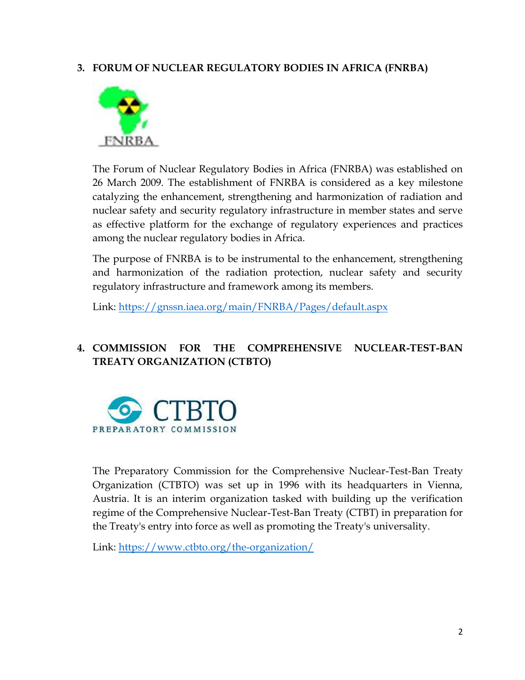#### **3. FORUM OF NUCLEAR REGULATORY BODIES IN AFRICA (FNRBA)**



The Forum of Nuclear Regulatory Bodies in Africa (FNRBA) was established on 26 March 2009. The establishment of FNRBA is considered as a key milestone catalyzing the enhancement, strengthening and harmonization of radiation and nuclear safety and security regulatory infrastructure in member states and serve as effective platform for the exchange of regulatory experiences and practices among the nuclear regulatory bodies in Africa.

The purpose of FNRBA is to be instrumental to the enhancement, strengthening and harmonization of the radiation protection, nuclear safety and security regulatory infrastructure and framework among its members.

Link:<https://gnssn.iaea.org/main/FNRBA/Pages/default.aspx>

## **4. COMMISSION FOR THE COMPREHENSIVE NUCLEAR-TEST-BAN TREATY ORGANIZATION (CTBTO)**



The Preparatory Commission for the Comprehensive Nuclear-Test-Ban Treaty Organization (CTBTO) was set up in 1996 with its headquarters in Vienna, Austria. It is an interim organization tasked with building up the verification regime of the Comprehensive Nuclear-Test-Ban Treaty (CTBT) in preparation for the Treaty's entry into force as well as promoting the Treaty's universality.

Link:<https://www.ctbto.org/the-organization/>